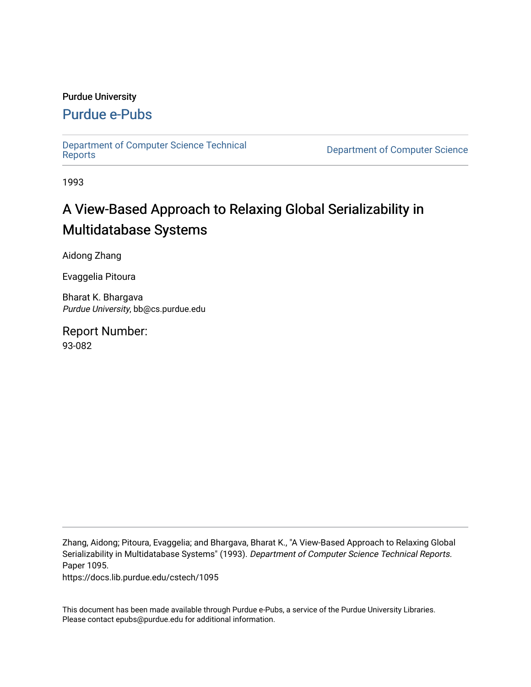#### Purdue University

### [Purdue e-Pubs](https://docs.lib.purdue.edu/)

[Department of Computer Science Technical](https://docs.lib.purdue.edu/cstech) 

**Department of Computer Science** 

1993

# A View-Based Approach to Relaxing Global Serializability in Multidatabase Systems

Aidong Zhang

Evaggelia Pitoura

Bharat K. Bhargava Purdue University, bb@cs.purdue.edu

Report Number: 93-082

Zhang, Aidong; Pitoura, Evaggelia; and Bhargava, Bharat K., "A View-Based Approach to Relaxing Global Serializability in Multidatabase Systems" (1993). Department of Computer Science Technical Reports. Paper 1095.

https://docs.lib.purdue.edu/cstech/1095

This document has been made available through Purdue e-Pubs, a service of the Purdue University Libraries. Please contact epubs@purdue.edu for additional information.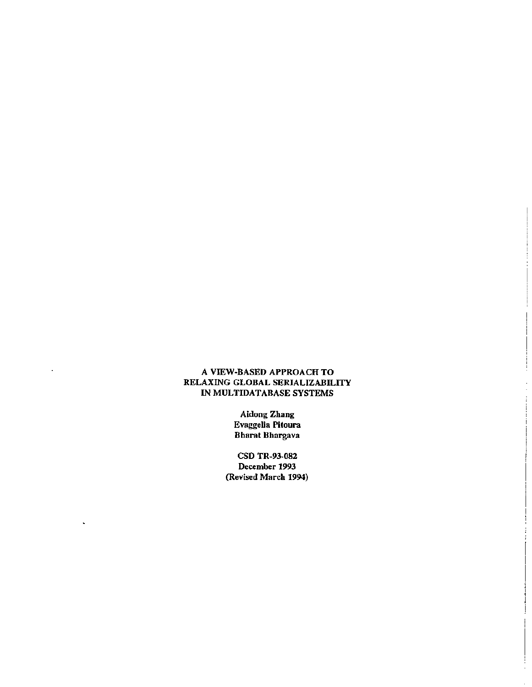#### A VIEW-BASED APPROACH TO RELAXING GLOBAL SERIALIZABILITY IN MULTIDATABASE SYSTEMS

Aldong Zhang Evaggelia Pitoura Bharat Bhargava

CSD TR-9J.082 December 1993 (Revised March 1994)

 $\ddot{\phantom{a}}$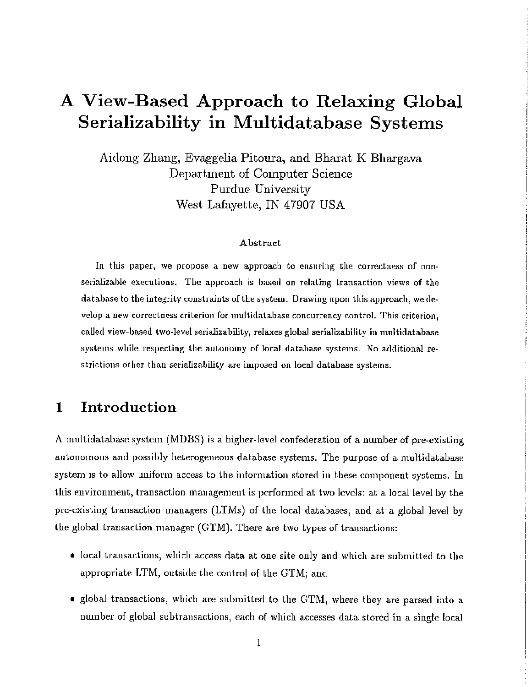# A View-Based Approach to Relaxing Global Serializability in Multidatabase Systems

Aidong Zhang, Evaggelia Pitoura, and Bharat K Bhargava Department of Computer Science Purdue University West Lafayette, IN 47907 USA

#### Abstract

In this paper, we propose a new approach to ensuring the correctness of nonserializable executions. The approach is based on relating transaction views of the database to the integrity constraints of the system. Drawing upon this approach, we develop a new correctness criterion for multidatabase concurrency control. This criterion, caUed view-based two-level serializability, relaxes global serializabitity in multidatabase systems while respecting the autonomy of local database systems. No additional restrictions other than serializability are imposed on local database systems.

### 1 Introduction

A multidatabase system (MDBS) is a higher-level confederation of a number of pre-existing autonomous and possibly heterogeneous database systems. The purpose of a multidatabase system is to allow uniform access to the information stored in these component systems. In this environment, transaction management is performed at two levels: at a local level by the pre-existing transaction managers (LTMs) of the local databases, and at a global level by the global transaction manager (GTM). There are two types of transactions:

- local transactions, which access data at one site only and which are submitted to the appropriate LTM, outside the control of the GTMj and
- global transactions, which are submitted to the GTM, where they are parsed into a number of global subtransactions, each of which accesses data stored in a single local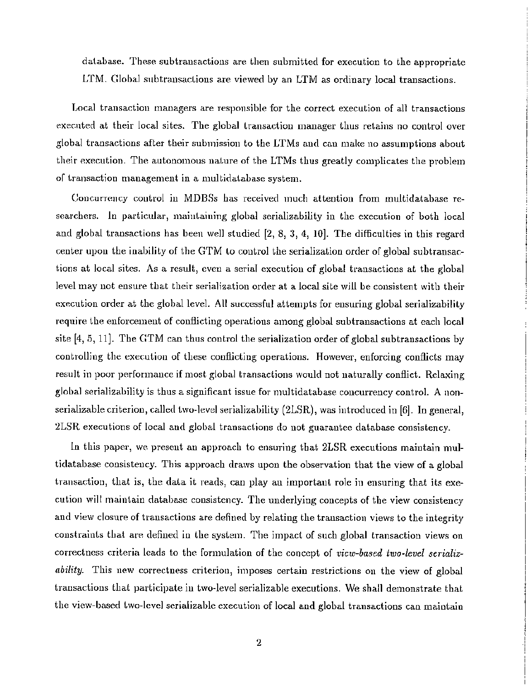database. These subtransactions are then submitted for execution to the appropriate LTM. Global subtransactions are viewed by an LTM as ordinary local transactions.

Local transaction managers are responsible for the correct execution of all transactions executed at their local sites. The global transaction manager thus retains no control over global transactions after their submission to the LTMs and can make no assumptions about their execution. The autonomous nature of the LTMs thus greatly complicates the problem of Lransaction management in a multidaLabasc system.

Concurrency control in MDBSs has received much attention from multidatabase researchers. In particular, maintaining global serializability in the execution of both local and global transactions has been well studied [2, 8, 3, 4, 10]. The difficulties in this regard center upon the inability of the GTM to control the serialization order of global subtransactions at local sites. As a result, even a serial execution of global transactions at the global level may not ensure that their serialization order at a local site will be consistent with their execution order at the global level. All successful attempts for ensuring global serializability require the enforcement of conflicting operations among global subtransactions at each local site [4, 5, 11]. The GTM can thus control the serialization order of global subtransaetions by controlling the execution of these conflicting operations. However, enforcing conflicts may result in poor performance if most global transactions would not naturally conflict. Relaxing global serializability is thus a significant issue for multidatabase concurrency control. A nonserializable criterion, called two-level serializability (21SR), was introduced in [6]. In general, 2LSR executions of local and global transactions do not guarantee database consistency.

In this paper, we present an approach to ensuring that 2LSR executions maintain multidatabase consistency. This approach draws upon the observation that the view of a global transaction, that is, the data it reads, can play an important role in ensuring that its execution will maintain database consistency. The underlying concepts of the view consistency and view closure of transactions are defined by relating the transaction views to the integrity constraints that are defined in the system. The impact of such global transaction views on correctness criteria leads to the formulation of the concept of *view-based two-level serializability*. This new correctness criterion, imposes certain restrictions on the view of global transactions that participate in two-level serializable executions. We shall demonstrate that the view-based two-level serializable execution of local and global transactions can maintain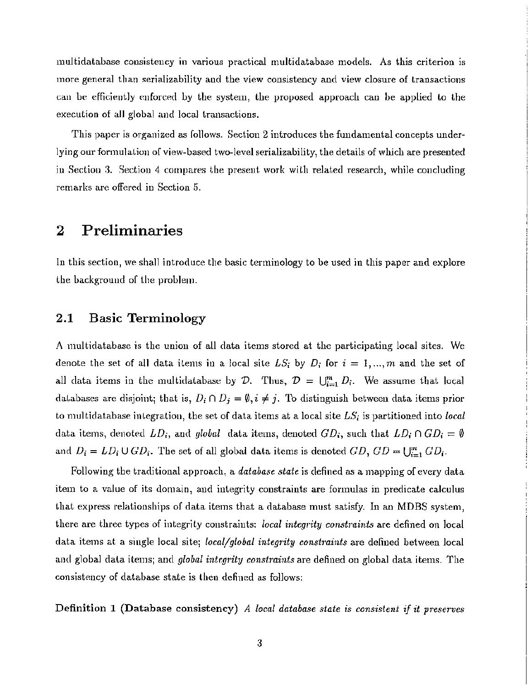multidatabase consistency in various practical multidatabase models. As this criterion is more general than serializability and the view consistency and view closure of transactions can be efficiently enforced by the system, the proposed approach can be applied to the execution of all global and local transactions.

This paper is organized as follows. Section 2 introduces the fundamental concepts underlying our formulation of view-based two-level serializability, the details of which are presented in Section 3. Section 4 compares the present work with related research, while concluding remarks are offered in Section 5.

## 2 Preliminaries

In this section, we shall introduce the basic terminology to be used in this paper and explore the background of the problem.

#### 2.1 Basic Terminology

A multidatabase is the union of all data items stored at the participating local sites. We denote the set of all data items in a local site  $LS_i$  by  $D_i$  for  $i = 1, ..., m$  and the set of all data items in the multidatabase by D. Thus,  $D = \bigcup_{i=1}^{m} D_i$ . We assume that local databases are disjoint; that is,  $D_i \cap D_j = \emptyset$ ,  $i \neq j$ . To distinguish between data items prior to multidatabase integration, the set of data items at a local site  $LS<sub>i</sub>$  is partitioned into *local* data items, denoted  $LD_i$ , and *global* data items, denoted  $GD_i$ , such that  $LD_i \cap GD_i = \emptyset$ and  $D_i = LD_i \cup GD_i$ . The set of all global data items is denoted  $GD$ ,  $GD = \bigcup_{i=1}^{m} GD_i$ .

Following the traditional approach, a *database state* is defined as a mapping of every data item to a value of its domain, and integrity constraints are formulas in predicate calculus that express relationships of data items that a database must satisfy. In an MDBS system, there are three types of integrity constraints: *local integrity constmints* are defined on local data items at a single local site; *local/global integrity constraints* are defined between local and global data items; and *global integrity constraints* are defined on global data items. The consistency of database state is then defined as follows:

Definition 1 (Database consistency) *A local database state is consistent if it preserves*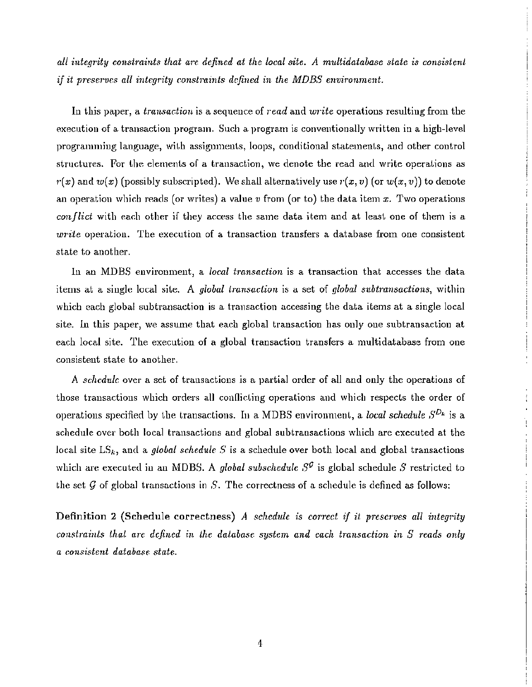*all integrity constraints that a1·e. defined at the local site. A multidatabase state is consistent if it prescrves all integrity constraints defined in the MDBS environment.*

In this paper, a *transaction* is a sequence of *read* and *write* operations resulting from the execution of a transaction program. Such a program is conventionally written in a high-level programming language, with assignments, loops, conditional statements, and other control structures. For the elements of a transaction, we denote the read and write operations as  $r(x)$  and  $w(x)$  (possibly subscripted). We shall alternatively use  $r(x, v)$  (or  $w(x, v)$ ) to denote an operation which reads (or writes) a value *v* from (or to) the data item *x.* Two operations *conflict* with each other if they access the same data item and at least one of them is a  $write$  operation. The execution of a transaction transfers a database from one consistent state to another.

In an MDBS environment, a *local transaction* is a transaction that accesses the data items at a single local site. A *global transaction* is a set of *global subtransactions,* within which each global subtransaction is a transaction accessing the data items at a single local site. In this paper, we assume that each global transaction has only one subtransaction at each local site. The execution of a global transaction transfers a multidatabase from one consistent state to another.

A *schedule* over a set of transactions *is* a partial order of all and only the operations of those transactions which orders all conflicting operations and which respects the order of operations specified by the transactions. In a MDBS environment, a *local schedule*  $S^{D_k}$  is a schedule over both local transactions and global subtransactions which are executed at the local site  $LS_k$ , and a *global schedule S* is a schedule over both local and global transactions which are executed in an MDBS. A *global subschedule*  $S^{\mathcal{G}}$  is global schedule  $S$  restricted to the set *9* of global transactions in *S.* The correctness of a schedule is defined as follows:

Definition 2 (Schedule correctness) *A schedule is correct if it preserves all integrity constmints that are defined in the database system and each transaction in* S *reads only a consistent database state.*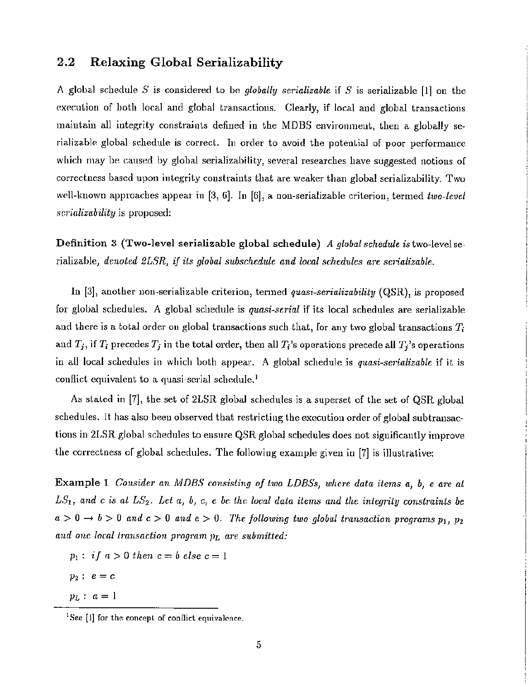#### 2.2 Relaxing Global Serializability

A global schedule 5' is considered La be *globally serializable* if *S* is serializable [1] on the execution of both local and global transactions. Clearly, if local and global transactions maintain all integrity constraints defined in the MDBS environment, then a globally serializable global schedule is correct. In order to avoid the potential of poor performance which may be caused by global serializability, several researches have suggested notions of correctness based upon integrity constraints that are weaker than global serializability. Two well-known approaches appear in [3, 6]. In [6], a non-serializable criterion, termed *two-level scrializability* is proposed:

Definition 3 (Two-level serializable global schedule) *A global schedule* istwo-levelse*rializable, denoted 2LSR, if its global subschedule and local schedules are serializable.* 

In [3], another non-serializable criterion, termed *quasi-serializability* (QSR), is proposed for global schedules. A global schedule is *quasi-serial* if its local schedules are serializable and there is a total order on global transactions such that, for any two global transactions  $T_i$ and  $T_j$ , if  $T_i$  precedes  $T_j$  in the total order, then all  $T_i$ 's operations precede all  $T_j$ 's operations in all local schedules in which both appear. A global schedule is *quasi-serializable* if it is conflict equivalent to a quasi-serial schedule.<sup>1</sup>

As slaled in [7], the set of 2LSR global schedules is a superset of the set of QSR global schedules. It has also been observed that restricting the execution order of global subtransactions in 2LSR global schedules to ensure QSR global schedules does not significantly improve the correctness of global schedules. The following example given in [7] is illustrative:

Example 1 *Consider an lvlDBS consisting of two LDBSs} wherc data items a*<sup>J</sup> *b} e a1'e al*  $LS_1$ , and c is at  $LS_2$ . Let a, b, c, e be the local data items and the integrity constraints be  $a>0 \rightarrow b>0$  and  $c>0$  and  $e>0$ . The following two global transaction programs  $p_1$ ,  $p_2$ *and one local transaction program 1)L are submitted:*

- $p_1:$  *i*  $f \, a > 0$  *then*  $c = b$  *else*  $c = 1$
- $p_2: e = c$
- $p_L: a = 1$

<sup>&</sup>lt;sup>1</sup>See [1] for the concept of conflict equivalence.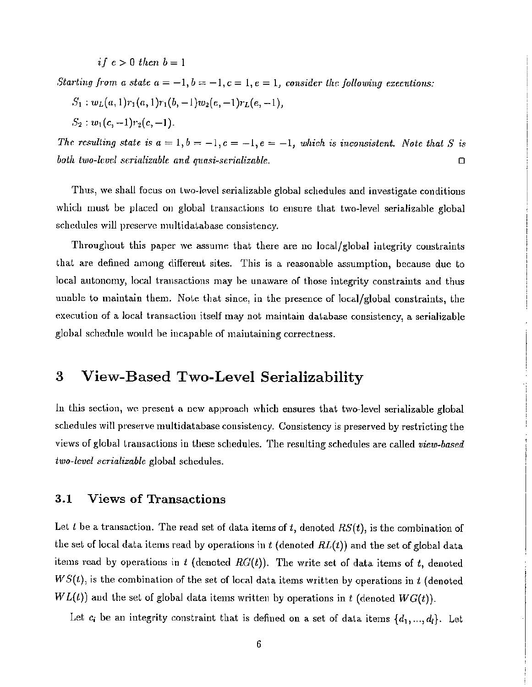$if e > 0 then b = 1$ 

*Starting from a state*  $a = -1, b = -1, c = 1, e = 1$ , *consider the following executions:* 

$$
S_1: w_L(a,1)r_1(a,1)r_1(b,-1)w_2(e,-1)r_L(e,-1),
$$

 $S_2$ :  $w_1(c, -1)r_2(c, -1)$ .

*The resulting state is*  $a = 1, b = -1, c = -1, e = -1$ , *which is inconsistent. Note that S is*  $\Box$  *both two-level scrializable and quasi-serializable.*  $\Box$ 

Thus, we shall focus on two-level serializable global schedules and investigate conditions which must be placed on global transactions to ensure that two-level serializable global schedules will preserve multidatabase consistency.

Throughout this paper we assume that there are no local/global integrity constraints that are defined among different sites. This is a reasonable assumption, because due to local autonomy, local transactions may be unaware of those integrity constraints and thus unable to maintain them. Note that since, in the presence of local/global constraints, the execution of a local transaction itself may not maintain database consistency, a serializable global schedule would be incapable of maintaining correctness.

# 3 View-Based Two-Level Serializability

In this section, we present a new approach which ensures that two-level serializable global schedules will preserve multidatabase consistency. Consistency is preserved by restricting the views of global transactions in these schedules. The resulting schedules are called view-based *two-level scrializable* global schedules.

#### 3.1 Views of Transactions

Let *l* be a transaction. The read set of data items of *t,* denoted *RS(t),* is the combination of the set of local data items read by operations in  $t$  (denoted  $RL(t)$ ) and the set of global data items read by operations in  $t$  (denoted  $RG(t)$ ). The write set of data items of  $t$ , denoted  $WS(t)$ , is the combination of the set of local data items written by operations in t (denoted  $WL(t)$ ) and the set of global data items written by operations in  $t$  (denoted  $WG(t)$ ).

Let  $c_i$  be an integrity constraint that is defined on a set of data items  $\{d_1, ..., d_l\}$ . Let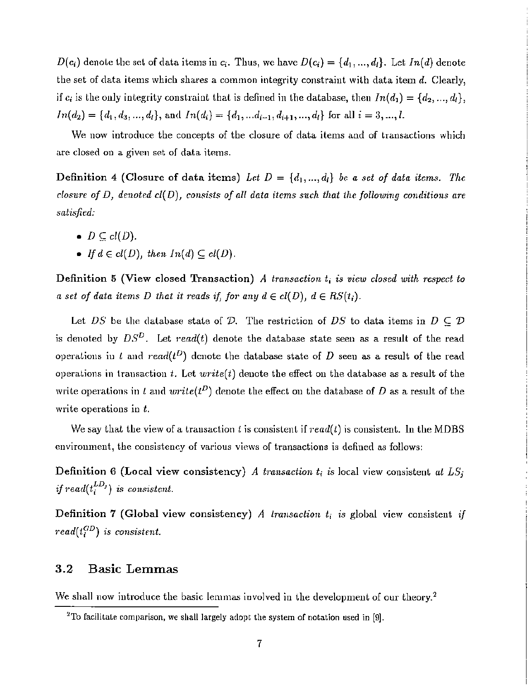*D*( $c_i$ ) denote the set of data items in  $c_i$ . Thus, we have  $D(c_i) = \{d_1, ..., d_l\}$ . Let  $In(d)$  denote the set of data items which shares a common integrity constraint with data item  $d$ . Clearly, if  $c_i$  is the only integrity constraint that is defined in the database, then  $In(d_1) = \{d_2, ..., d_l\}$ ,  $In(d_2) = \{d_1, d_3, ..., d_l\}$ , and  $In(d_i) = \{d_1, ..., d_{i-1}, d_{i+1}, ..., d_l\}$  for all  $i = 3, ..., l$ .

We now introduce the concepts of the closure of data items and of transactions which are closed on a given set of data items.

Definition 4 (Closure of data items) Let  $D = \{d_1, ..., d_l\}$  be a set of data items. The *closure of D, denoted* d( *D), consists of all data items such that the following conditions are satisfied:*

- $D \subseteq cl(D)$ .
- *If*  $d \in cl(D)$ , *then*  $In(d) \subseteq cl(D)$ .

Definition 5 (View closed Transaction) A *transaction*  $t_i$  *is view closed with respect to a set of data items D that it reads if*, *for any*  $d \in cl(D)$ ,  $d \in RS(t_i)$ .

Let DS be the database state of D. The restriction of DS to data items in  $D \subseteq \mathcal{D}$ is denoted by  $DS^D$ . Let  $read(t)$  denote the database state seen as a result of the read operations in l and read( $t^D$ ) denote the database state of D seen as a result of the read operations in transaction *t*. Let  $write(t)$  denote the effect on the database as a result of the write operations in l and  $write(t^D)$  denote the effect on the database of D as a result of the write operations in *t.*

We say that the view of a transaction t is consistent if  $read(t)$  is consistent. In the MDBS environment, the consistency of various views of transactions is defined as follows:

Definition 6 (Local view consistency) *A transaction*  $t_i$  *is* local view consistent *at*  $LS_j$ *if*  $read(t_i^{LD_j})$  *is consistent.* 

Definition 7 (Global view consistency) A *transaction*  $t_i$  *is* global view consistent *if*  $read(t_i^{GD})$  *is consistent.* 

#### 3.2 Basic Lemmas

We shall now introduce the basic lemmas involved in the development of our theory.<sup>2</sup>

<sup>&</sup>lt;sup>2</sup>To facilitate comparison, we shall largely adopt the system of notation used in  $[9]$ .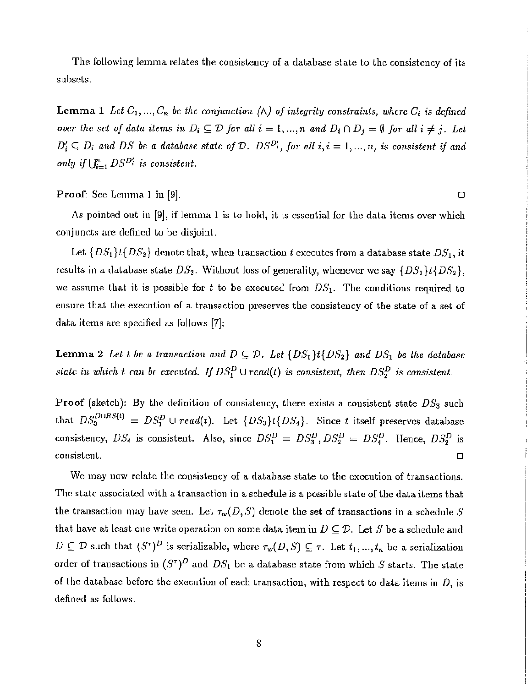The following lemma relates the consistency of a database state to the consistency of its subsets.

Lemma 1 Let  $C_1, ..., C_n$  be the conjunction ( $\wedge$ ) of integrity constraints, where  $C_i$  is defined over the set of data items in  $D_i \subseteq D$  for all  $i = 1, ..., n$  and  $D_i \cap D_j = \emptyset$  for all  $i \neq j$ . Let  $D'_i \subseteq D_i$  and DS be a *database state* of  $D$ .  $DS^{D'_i}$ , for all  $i, i = 1, ..., n$ , is consistent if and  $\text{only if } \bigcup_{i=1}^n DS^{D_i^t} \text{ is consistent.}$ 

**Proof:** See Lemma 1 in [9].  $\Box$ 

As pointed out in  $[9]$ , if lemma 1 is to hold, it is essential for the data items over which conjuncts are defined to be disjoint.

Let  ${DS_1}$   ${t{DS_2}$  denote that, when transaction *t* executes from a database state  $DS_1$ , it results in a database state  $DS_2$ . Without loss of generality, whenever we say  $\{DS_1\}$ t $\{DS_2\}$ , we assume that it is possible for  $t$  to be executed from  $DS<sub>1</sub>$ . The conditions required to ensure that the execution of a transaction preserves the consistency of the state of a set of data items are specified as follows [7]:

Lemma 2 Let *t* be a transaction and  $D \subseteq \mathcal{D}$ . Let  $\{DS_1\}$ t $\{DS_2\}$  and  $DS_1$  be the database *state in which t can be executed. If*  $DS_1^D \cup read(l)$  *is consistent, then*  $DS_2^D$  *is consistent.* 

Proof (sketch): By the definition of consistency, there exists a consistent state  $DS_3$  such that  $DS_3^{DURS(t)} = DS_1^D \cup read(t)$ . Let  $\{DS_3\} \cup \{DS_4\}$ . Since *t* itself preserves database consistency,  $DS_4$  is consistent. Also, since  $DS_1^D = DS_3^D$ ,  $DS_2^D = DS_4^D$ . Hence,  $DS_2^D$  is  $\Box$ consistent.

We may now relate the consistency of a database state to the execution of transactions. The state associated with a transaction in a schedule is a possible state of the data items that the transaction may have seen. Let  $\tau_w(D,S)$  denote the set of transactions in a schedule S that have at least one write operation on some data item in  $D \subseteq \mathcal{D}$ . Let S be a schedule and  $D \subseteq \mathcal{D}$  such that  $(S^{\tau})^D$  is serializable, where  $\tau_w(D,S) \subseteq \tau$ . Let  $t_1, ..., t_n$  be a serialization order of transactions in  $(S^{\tau})^D$  and  $DS_1$  be a database state from which *S* starts. The state of the database before the execution of each transaction, with respect to data items in  $D$ , is defined as follows:

i  $\mathbf{r}$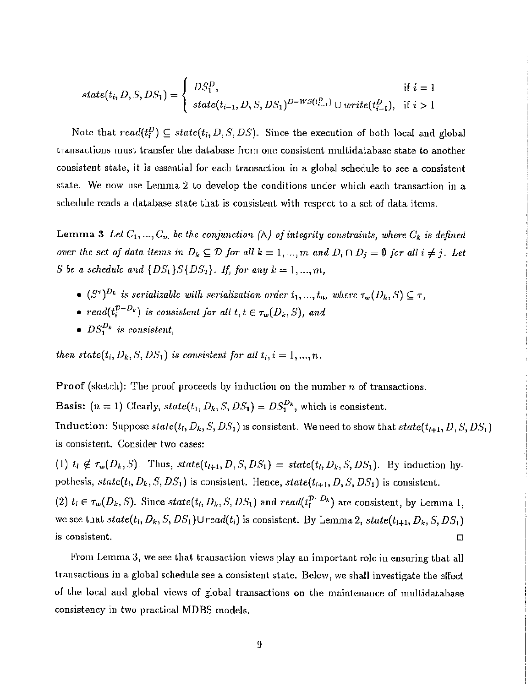$$
state(t_i, D, S, DS_1) = \begin{cases} DS_1^D, & \text{if } i = 1\\ state(t_{i-1}, D, S, DS_1)^{D-WS(t_{i-1}^D)} \cup write(t_{i-1}^D), & \text{if } i > 1 \end{cases}
$$

Note that  $read(t_i^D) \subseteq state(t_i, D, S, DS)$ . Since the execution of both local and global transactions must transfer the database from one consistent multidatabase state to another consistent state, it is essential for each transaction in a global schedule to see a consistent state. We now use Lemma 2 to develop the conditions under which each transaction in a schedule reads a database state that is consistent with respect to a set of data items.

Lemma 3 Let  $C_1, ..., C_m$  be the conjunction  $(\wedge)$  of integrity constraints, where  $C_k$  is defined *over* the set of data items in  $D_k \subseteq D$  for all  $k = 1, ..., m$  and  $D_i \cap D_j = \emptyset$  for all  $i \neq j$ . Let *S be a schedulc and*  $\{DS_1\}S\{DS_2\}$ *. If, for any*  $k = 1, ..., m$ ,

- $(S^{\tau})^{D_k}$  *is serializable with serialization order*  $t_1, ..., t_n$ , *where*  $\tau_w(D_k, S) \subseteq \tau$ ,
- $read(t_i^{D-D_k})$  *is consistent for all*  $t, t \in \tau_w(D_k, S)$ , and
- $DS_1^{D_k}$  is consistent,

*then*  $state(t_i, D_k, S, DS_1)$  *is consistent for all*  $t_i, i = 1, ..., n$ .

**Proof** (sketch): The proof proceeds by induction on the number  $n$  of transactions.

**Basis:**  $(n = 1)$  Clearly,  $state(t_1, D_k, S, DS_1) = DS_1^{D_k}$ , which is consistent.

Induction: Suppose  $state(t_1, D_k, S, DS_1)$  is consistent. We need to show that  $state(t_{l+1}, D, S, DS_1)$ is consistent. Consider two cases:

(1)  $t_i \notin \tau_w(D_k, S)$ . Thus,  $state(t_{i+1}, D, S, DS_1) = state(t_i, D_k, S, DS_1)$ . By induction hypothesis,  $state(t_l, D_k, S, DS_1)$  is consistent. Hence,  $state(t_{l+1}, D, S, DS_1)$  is consistent. (2)  $t_l \in \tau_w(D_k, S)$ . Since  $state(t_l, D_k, S, DS_1)$  and  $read(t_l^{D-D_k})$  are consistent, by Lemma 1, we see that  $state(t_1, D_k, S, DS_1) \cup read(t_l)$  is consistent. By Lemma 2,  $state(t_{l+1}, D_k, S, DS_1)$  $\Box$  consistent.

From Lemma 3, we see that transaction views play an important role in ensuring that all transactions in a global schedule see a consistent state. Below, we shall investigate the effect of the local and global views of global transactions on the maintenance of multidatabase consistency in two practical MDBS models.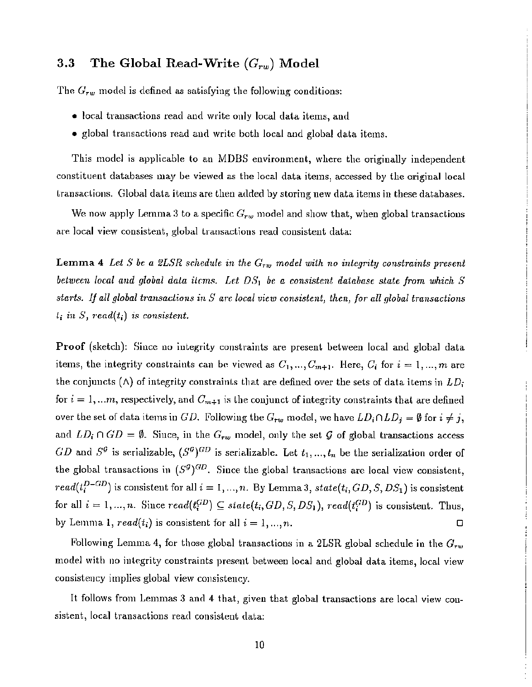## 3.3 The Global Read-Write *(G,·w)* Model

The  $G_{\tau w}$  model is defined as satisfying the following conditions:

- local transactions read and write only local data items, and
- global transactions read and write both local and global data items.

This model is applicable to an MDBS environment, where the originally independent constituent databases may be viewed as the local data items, accessed by the original local transactions. Global data items are then added by storing new data items in these databases.

We now apply Lemma 3 to a specific  $G_{rw}$  model and show that, when global transactions are local view consistent, global transactions read consistent data:

Lemma 4 Let *S* be a 2LSR schedule in the  $G_{rw}$  model with no integrity constraints present *between local and global dala ilems. Let* D81 *be a consistent database slate from which* S *StU1'tS. If all global tmnsadio1ls in* 5' *are local view consistent) then, f01' all global transactions*  $l_i$  *in*  $S$ ,  $read(t_i)$  *is consistent.* 

**Proof** (sketch): Since no integrity constraints are present between local and global data items, the integrity constraints can be viewed as  $C_1, ..., C_{m+1}$ . Here,  $C_i$  for  $i = 1, ..., m$  are the conjuncts  $(\wedge)$  of integrity constraints that are defined over the sets of data items in  $LD_i$ for  $i = 1, \ldots m$ , respectively, and  $C_{m+1}$  is the conjunct of integrity constraints that are defined over the set of data items in GD. Following the  $G_{rw}$  model, we have  $LD_i \cap LD_j = \emptyset$  for  $i \neq j$ , and  $LD_i \cap GD = \emptyset$ . Since, in the  $G_{rw}$  model, only the set G of global transactions access GD and  $S^{\mathcal{G}}$  is serializable,  $(S^{\mathcal{G}})^{GD}$  is serializable. Let  $t_1, ..., t_n$  be the serialization order of the global transactions in  $(S^g)^{GD}$ . Since the global transactions are local view consistent,  $read(t_i^{D-GD})$  is consistent for all  $i = 1, ..., n$ . By Lemma 3,  $state(t_i, GD, S, DS_1)$  is consistent for all  $i = 1, ..., n$ . Since  $read(t_i^{GD}) \subseteq state(t_i, GD, S, DS_1)$ ,  $read(t_i^{GD})$  is consistent. Thus, by Lemma 1,  $read(t_i)$  is consistent for all  $i = 1, ..., n$ .

Following Lemma 4, for those global transactions in a 21SR global schedule in the *Grw* model with <sup>110</sup> integrity constraints present between local and global data items, local view consistency implies global view consistency.

It follows from Lemmas 3 and 4 that, given that global transactions are local view consistent, local transactions read consistent data: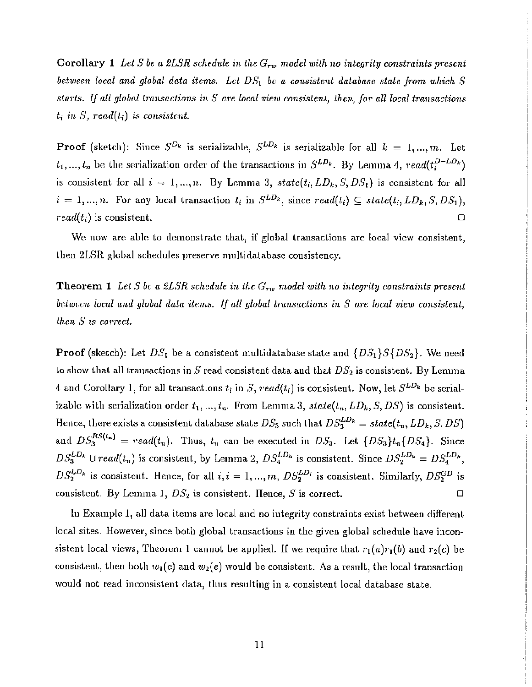Corollary 1 Let *S* be a 2LSR schedule in the  $G_{rw}$  model with no integrity constraints present *between local and global data items. Lel DS*<sup>l</sup> *be a consistent database state from which S starts. If all global transactions in S a1'e local view consistent, then, for all local transactions*  $t_i$  in S, read( $t_i$ ) is consistent.

**Proof** (sketch): Since  $S^{D_k}$  is serializable,  $S^{LD_k}$  is serializable for all  $k = 1, ..., m$ . Let  $t_1, ..., t_n$  be the serialization order of the transactions in  $S^{LD_k}$ . By Lemma 4,  $read(t_i^{D-LD_k})$ is consistent for all  $i = 1, ..., n$ . By Lemma 3,  $state(t_i, LD_k, S, DS_1)$  is consistent for all  $i = 1, ..., n$ . For any local transaction  $t_i$  in  $S^{LD_k}$ , since  $read(t_i) \subseteq state(t_i, LD_k, S, DS_1)$ ,  $read(t_i)$  is consistent.  $\Box$ 

We now are able to demonstrate that, if global transactions are local view consistent, then 2LSR global schedules preserve multidatabase consistency.

Theorem 1 *Let S bc a*  $2LSR$  *schedule in the*  $G_{rw}$  *model with no integrity constraints present belween local and global data items. If all global transactions in S are local view consistent) then* S *is C01TeCt.*

**Proof** (sketch): Let  $DS_1$  be a consistent multidatabase state and  $\{DS_1\}S\{DS_2\}$ . We need Lo show that all transactions in S read consistent data and that *DS*<sup>2</sup> is consistent. By Lemma 4 and Corollary 1, for all transactions  $t_i$  in S, read( $t_i$ ) is consistent. Now, let  $S^{LD_k}$  be serializable with serialization order  $t_1, ..., t_n$ . From Lemma 3,  $state(t_n, LD_k, S, DS)$  is consistent. Hence, there exists a consistent database state  $DS_3$  such that  $DS_3^{LD_k} = state(t_n, LD_k, S, DS)$ and  $DS_3^{RS(t_n)} = read(t_n)$ . Thus,  $t_n$  can be executed in  $DS_3$ . Let  $\{DS_3\}t_n\{DS_4\}$ . Since  $DS_3^{LD_k} \cup read(t_n)$  is consistent, by Lemma 2,  $DS_4^{LD_k}$  is consistent. Since  $DS_2^{LD_k} = DS_4^{LD_k}$ ,  $DS_2^{LD_k}$  is consistent. Hence, for all  $i, i = 1, ..., m, DS_2^{LD_i}$  is consistent. Similarly,  $DS_2^{GD}$  is consistent. By Lemma 1,  $DS_2$  is consistent. Hence, S is correct.  $\Box$ 

In Example 1, all data items are local and no integrity constraints exist between different local sites. However, since both global transactions in the given global schedule have inconsistent local views, Theorem 1 cannot be applied. If we require that  $r_1(a)r_1(b)$  and  $r_2(c)$  be consistent, then both  $w_1(c)$  and  $w_2(e)$  would be consistent. As a result, the local transaction would not read inconsistent data, thus resulting in a consistent local database state.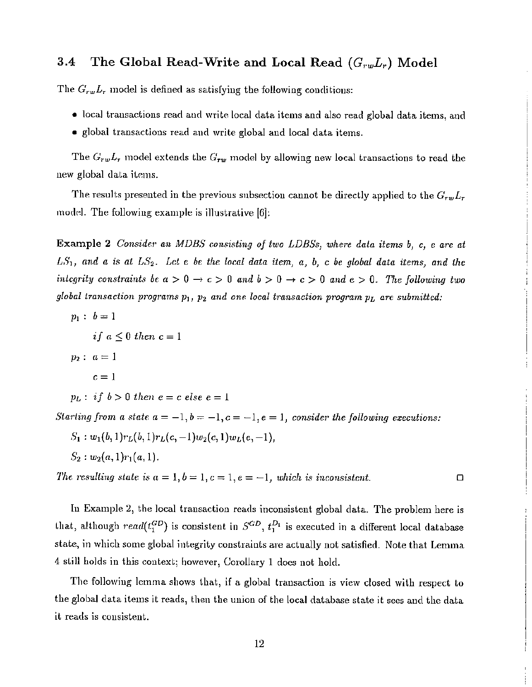#### 3.4 The Global Read-Write and Local Read *(G"wL,)* Model

The  $G_{rw}L_r$  model is defined as satisfying the following conditions:

- 10ca] transactions read and wri *te* local data items and also read global data items, and
- global transactions read and write global and local data items.

The  $G_{rw}L_r$  model extends the  $G_{rw}$  model by allowing new local transactions to read the new global data items.

The results presented in the previous subsection cannot be directly applied to the  $G_{rw}L_r$ model. The following example is illustrative  $[6]$ :

Example 2 *Conside.1' an MDBS consisting of two LDESs, where data items hi* C, e *are at*  $LS_1$ , and a is at  $LS_2$ . Let e be the local data item, a, b, c be global data items, and the *integrity constraints be*  $a > 0 \rightarrow c > 0$  *and*  $b > 0 \rightarrow c > 0$  *and*  $e > 0$ . The *following two global transaction programs*  $p_1$ ,  $p_2$  *and one local transaction program*  $p_L$  *are submitted:* 

 $p_1 : b = 1$  $if a \leq 0 then c = 1$ *P2: a=1*  $c = 1$ 

 $p_L:$  *if*  $b>0$  *then*  $e = c$  *else*  $e = 1$ 

*Starting* from *a state*  $a = -1, b = -1, c = -1, e = 1$ , *consider the following executions:* 

$$
S_1: w_1(b,1)r_L(b,1)r_L(c,-1)w_2(c,1)w_L(e,-1),
$$
  

$$
S_2: w_2(a,1)r_1(a,1).
$$

*The resulting state is*  $a = 1, b = 1, c = 1, e = -1$ , which is inconsistent.

In Example 2, the local transaction reads inconsistent global data. The problem here is that, although  $real(t_1^{GD})$  is consistent in  $S^{GD}$ ,  $t_1^{D_1}$  is executed in a different local database state, in which some global integrity constraints are actually not satisfied. Note that Lemma 4 sLill holds in this context; however, Corollary 1 does not hold.

The following lemma shows that, if a global transaction is view closed with respect to the global data items *it* reads, then the union of the local database state it sees and the data it reads is consistent.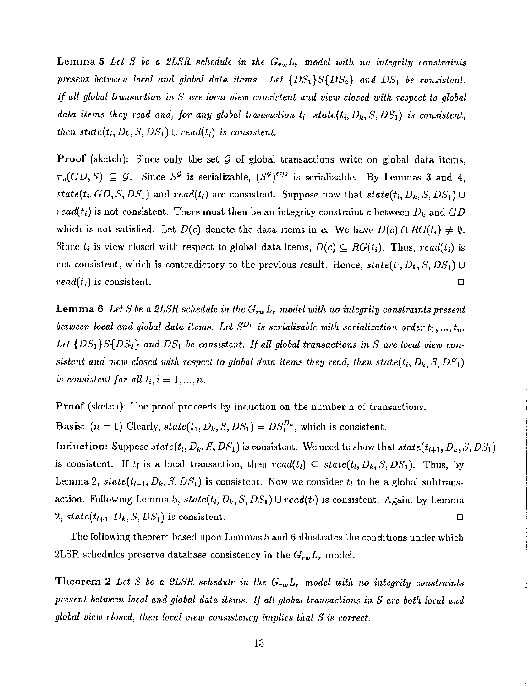Lemma 5 Let *S* be a 2LSR schedule in the  $G_{rw}L_r$  model with no integrity constraints  $p$ resent *between local* and global data *items.* Let  $\{DS_1\}S\{DS_2\}$  and  $DS_1$  *be consistent. If all global tmnsaction in S are local view consistent and view closed with respect to global data items lhey read and) for any global transaction ti, state(ti, Dk , S, DS1 ) is consistent, then*  $state(t_i, D_k, S, DS_1) \cup read(t_i)$  *is consistent.* 

**Proof** (sketch): Since only the set  $G$  of global transactions write on global data items,  $\tau_w(GD, S) \subseteq G$ . Since  $S^{\mathcal{G}}$  is serializable,  $(S^{\mathcal{G}})^{GD}$  is serializable. By Lemmas 3 and 4,  $state(t_i, GD, S, DS_1)$  and  $read(t_i)$  are consistent. Suppose now that  $state(t_i, D_k, S, DS_1) \cup$ *read(t<sub>i</sub>*) is not consistent. There must then be an integrity constraint *c* between  $D_k$  and  $GD$ which is not satisfied. Let  $D(c)$  denote the data items in c. We have  $D(c) \cap RG(t_i) \neq \emptyset$ . Since  $t_i$  is view closed with respect to global data items,  $D(c) \subseteq RG(t_i)$ . Thus, read( $t_i$ ) is not consistent, which is contradictory to the previous result. Hence,  $state(t_i, D_k, S, DS_1) \cup$  $read(t_i)$  is consistent.  $\square$ 

Lemma 6 Let *S* be a 2LSR schedule in the  $G_{rw}L_r$  model with no integrity constraints present *between local* and *global data items.* Let  $S^{D_k}$  *is serializable with serialization order*  $t_1, ..., t_n$ . Let  $\{DS_1\}S\{DS_2\}$  and  $DS_1$  be consistent. If all global transactions in S are local view con*sistent* and *view closed with respect to global data items they read, then state*( $t_i$ ,  $D_k$ ,  $S$ ,  $DS_1$ ) *is consistent for all*  $t_i$ ,  $i = 1, ..., n$ .

Proof (sketch): The proof proceeds by induction on the number n of transactions.

**Basis:**  $(n = 1)$  Clearly,  $state(t_1, D_k, S, DS_1) = DS_1^{D_k}$ , which is consistent.

Induction: Suppose  $state(t_i, D_k, S, DS_1)$  is consistent. We need to show that  $state(t_{i+1}, D_k, S, DS_1)$ is consistent. If  $t_i$  is a local transaction, then  $read(t_i) \subseteq state(t_i, D_k, S, DS_1)$ . Thus, by Lemma 2,  $state(t_{l+1}, D_k, S, DS_1)$  is consistent. Now we consider  $t_l$  to be a global subtransaction. Following Lemma 5,  $state(t_i, D_k, S, DS_1) \cup read(t_i)$  is consistent. Again, by Lemma 2,  $state(t_{l+1}, D_k, S, DS_1)$  is consistent.

The following theorem based upon Lemmas 5 and 6 illustrates the conditions under which 2LSR schedules preserve database consistency in the  $G_{rw}L_r$  model.

Theorem 2 Let *S* be a 2LSR schedule in the  $G_{rw}L_r$  model with no integrity constraints *prese.nt betwccn local and global data items. If all global tmnsactions in S are both local and global view closed] then local view consistency implies that S is correct.*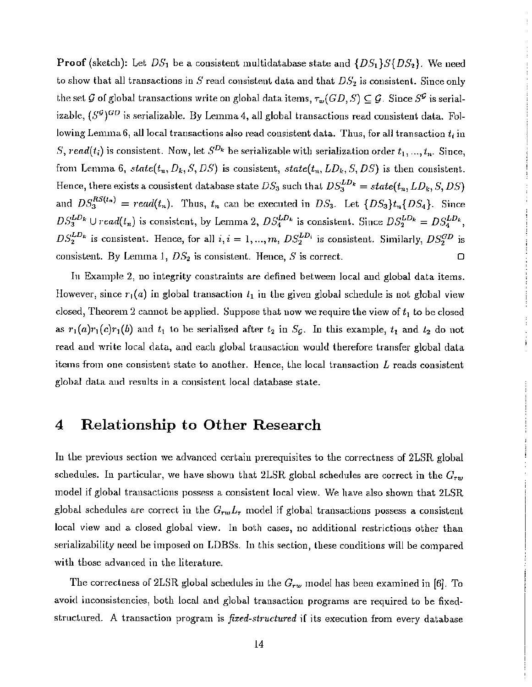**Proof** (sketch): Let  $DS_1$  be a consistent multidatabase state and  $\{DS_1\}S\{DS_2\}$ . We need to show that all transactions in S read consistent data and that DS*<sup>2</sup>* is consistent. Siuce only the set G of global transactions write on global data items,  $\tau_w(GD, S) \subseteq G$ . Since  $S^{\mathcal{G}}$  is serializable,  $(S^{\mathcal{G}})^{GD}$  is serializable. By Lemma 4, all global transactions read consistent data. Following Lemma6, all local transactions also read consistent data. Thus, for all transaction  $t_i$  in S, read(t<sub>i</sub>) is consistent. Now, let  $S^{D_k}$  be serializable with serialization order  $t_1, ..., t_n$ . Since, from Lemma 6,  $state(t_n, D_k, S, DS)$  is consistent,  $state(t_n, LD_k, S, DS)$  is then consistent. Hence, there exists a consistent database state  $DS_3$  such that  $DS_3^{LD_k} = state(t_n, LD_k, S, DS)$ and  $DS_3^{RS(n)} = read(t_n)$ . Thus,  $t_n$  can be executed in  $DS_3$ . Let  $\{DS_3\}t_n\{DS_4\}$ . Since  $DS_3^{LD_k} \cup read(t_n)$  is consistent, by Lemma 2,  $DS_4^{LD_k}$  is consistent. Since  $DS_2^{LD_k} = DS_4^{LD_k}$ ,  $DS_2^{LD_k}$  is consistent. Hence, for all  $i, i = 1, ..., m, DS_2^{LD_i}$  is consistent. Similarly,  $DS_2^{GD}$  is consistent. By Lemma 1,  $DS_2$  is consistent. Hence, S is correct.  $\Box$ 

In Example 2, no integrity constraints are defined between local and global data items. However, since  $r_1(a)$  in global transaction  $l_1$  in the given global schedule is not global view closed, Theorem 2 cannot be applied. Suppose that now we require the view of  $t_1$  to be closed as  $r_1(a)r_1(c)r_1(b)$  and  $t_1$  to be serialized after  $t_2$  in S<sub>G</sub>. In this example,  $t_1$  and  $t_2$  do not read and write local data, and each global transaction would therefore transfer global data items from one consistent state to another. Hence, the local transaction  $L$  reads consistent global data aud results in a consistent local database state.

### 4 Relationship to Other Research

In the previous section we advanced certain prerequisites to the correctness of 2LSR global schedules. In particular, we have shown that  $2LSR$  global schedules are correct in the  $G_{rw}$ model if global transactions possess a consistent local view. We have also shown that 2LSR global schedules are correct in the  $G_{rw}L_r$  model if global transactions possess a consistent local view and a closed global view. In both cases, no additional restrictions other than serializability need be imposed on LDBSs. In this section, these conditions will be compared with those advanced in the literature.

The correctness of 2LSR global schedules in the  $G_{rw}$  model has been examined in [6]. To avoid inconsistencies, both local and global transaction programs are required to be fixedstructured. A transaction program is *fixed-structured* if its execution from every database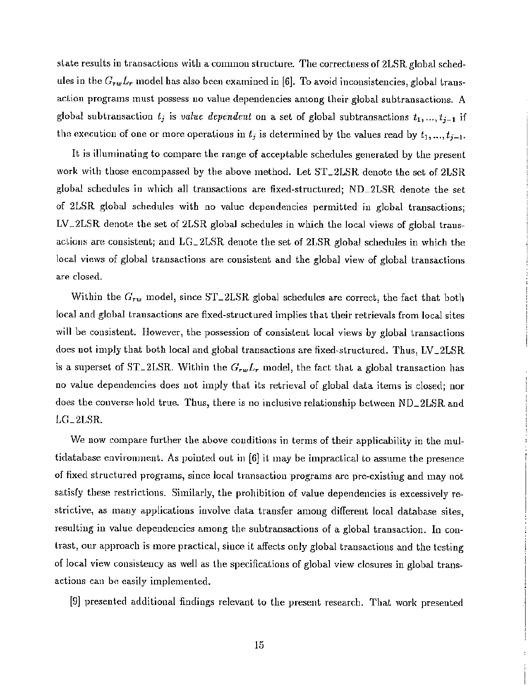state results in transactions with a common structure. The correctness of 2LSR global schedules in the *GrwLr* model has also been examined in [6]. To avoid inconsistencies, global transaction programs must possess no value dependencies among their global subtransactions. A global subtransaction  $t_j$  is *value dependent* on a set of global subtransactions  $t_1, ..., t_{j-1}$  if the execution of one or more operations in  $t_j$  is determined by the values read by  $t_1, ..., t_{j-1}$ .

It is illuminating to compare the range of acceptable schedules generated by the present work with those encompassed by the above method. Let ST\_2LSR denote the set of 2LSR global schedules in which all transactions are fixed-structured; ND\_2LSR denote the set of 2LSR global schedules with no value dependencies permitted in global transactionsj  $LV\_2LSR$  denote the set of  $2LSR$  global schedules in which the local views of global transactions are consistent; and LG\_2LSR denote the set of 2LSR global schedules in which the local views of global transactions are consistent and the global view of global transactions are closed.

Within the  $G_{rw}$  model, since ST<sub>-2</sub>LSR global schedules are correct, the fact that both local and global transactions are fixed-structured implies that their retrievals from local sites will be consistent. However, the possession of consistent local views by global transactions does not imply that both local and global transactions are fixed-structured. Thus, LV\_2LSR is a superset of ST<sub>-2</sub>LSR. Within the  $G_{rw}L_r$  model, the fact that a global transaction has no value dependencies does not imply that its retrieval of global data items is closed; nor does the converse hold true. Thus, there is no inclusive relationship between ND\_2LSR and LG\_2LSR.

We now compare further the above conditions in terms of their applicability in the multidatabase environment. As pointed out in  $[6]$  it may be impractical to assume the presence of fixed structured programs, since local transaction programs are pre-existing and may not satisfy these restrictions. Similarly, the prohibition of value dependencies is excessively restrictive, as many applications involve data transfer among different local database sites, resulting in value dependencies among the subtransactions of a global transaction. In contrast, our approach is more practical, since it affects only global transactions and the testing of local view consistency as well as the specifications of global view closures in global transactions can be easily implemented.

[9] presented additional findings relevant to the present research. That work presented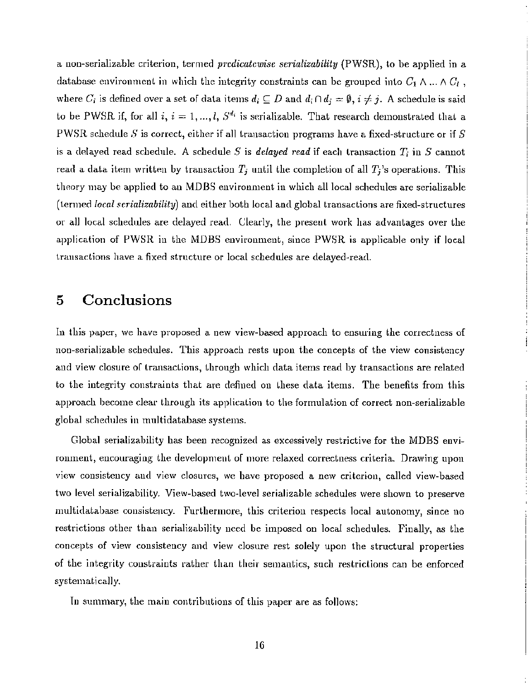a non-serializable criterion, termed *prcdicatcwise serializability* (PWSR), to be applied in a database environment in which the integrity constraints can be grouped into  $C_1 \wedge \ldots \wedge C_l$ , where  $C_i$  is defined over a set of data items  $d_i \subseteq D$  and  $d_i \cap d_j = \emptyset$ ,  $i \neq j$ . A schedule is said to be PWSR if, for all i,  $i = 1, ..., l$ ,  $S^{d_i}$  is serializable. That research demonstrated that a PWSR schedule *S* is correct, either if all transaction programs have a fixed-structure or if *S* is a delayed read schedule. A schedule *S* is *delayed read* if each transaction  $T_i$  in *S* cannot read a data item written by transaction  $T_j$  until the completion of all  $T_j$ 's operations. This theory may be applied to an MDBS environment in which all local schedules are serializable (termed *local scrializability)* and either both local and global transactions are fixed-structures or all local schedules are delayed read. Clearly, the present work has advantages over the application of PWSR in the MDBS environment, since PWSR is applicable only if local transactions have a fixed structure or local schedules are delayed-read.

## 5 Conclusions

In this paper, we have proposed a new view-based approach to ensuring the correctness of non-serializable schedules. This approach rests upon the concepts of the view consistency and view closure of transactions, through which data items read by transactions are related to the integrity constraints that are defined on these data items. The benefits from this approach become clear through its application to the formulation of correct non-serializable global schedules in multidatabase systems.

Global serializability has been recognized as excessively restrictive for the MDBS environment, encouraging the development of more relaxed correctness criteria. Drawing upon view consistency and view closures, we have proposed a new criterion, called view-based two level serializability. View-based two-level serializable schedules were shown to preserve multidatabase consistency. Furthermore, this criterion respects local autonomy, since no restrictions other than serializability need be imposed on local schedules. Finally, as the concepts of view consistency and view closure rest solely upon the structural properties of the integrity constraints rather than their semantics, such restrictions can be enforced systematically.

In summary, the main contributions of this paper are as follows: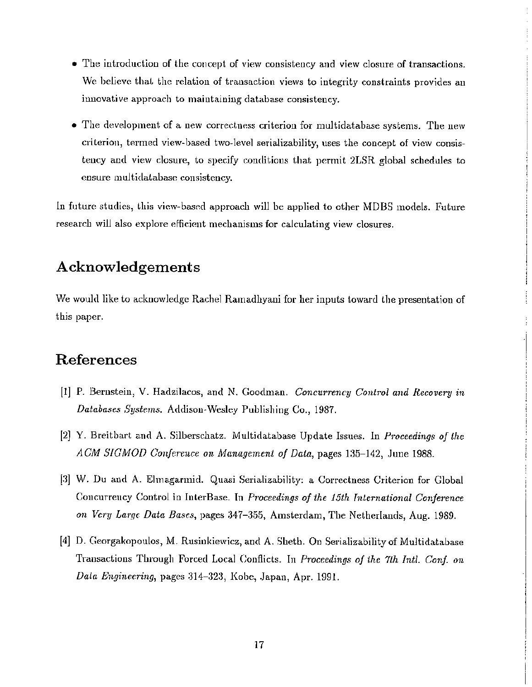- The introduction of the concept of view consistency and view closure of transactions. We believe that the relation of transaction views to integrity constraints provides an innovative approach to maintaining database consistency.
- The development of a new correctness criterion for multidatabase systems. The new criterion, termed view-based two-level serializability, uses the concept of view consistency and view dosure, to specify conditions that permit 2LSR global schedules to ensure multidatabase consistency.

In future studies, Lhis view-based approach will be applied to other MDBS models. Future research will also explore efficient mechanisms for calculating view closures.

## Acknowledgements

We would like to acknowledge Rachel Ramadhyani for her inputs toward the presentation of this paper.

## References

- [1] P. Bernstein, V. Hadzilacos, and N. Goodman. *Concurrency Control and Recovery in Databases Systems.* Addison-Wesley Publishing Co., 1987.
- [2J Y. Breitbart and A. Silberschatz. Multidatabase Update Issues. In *Proceedings of the ACM SIGMOn Conference on Management of Data,* pages 135-142, June 1988.
- [3] W. Du and A. Elmagannid. Quasi Serializability; a Correctness Criterion for Global Concurrency Control in InterBase. **Tn** *Proceedings of the 15th Tnlcrnational Confc1'ence on Very Large Data Bases,* pages 347–355, Amsterdam, The Netherlands, Aug. 1989.
- [4] D. Georgakopoulos, M. Rusinkiewicz, and A. Sheth. On Serializabilityof Multidatabase Transactions Through Forced Local Conflicts. In *Proceedings of the 7th Intl. Conf. on Data Engineering,* pages 314-323, Kobe, Japan, Apr. 1991.